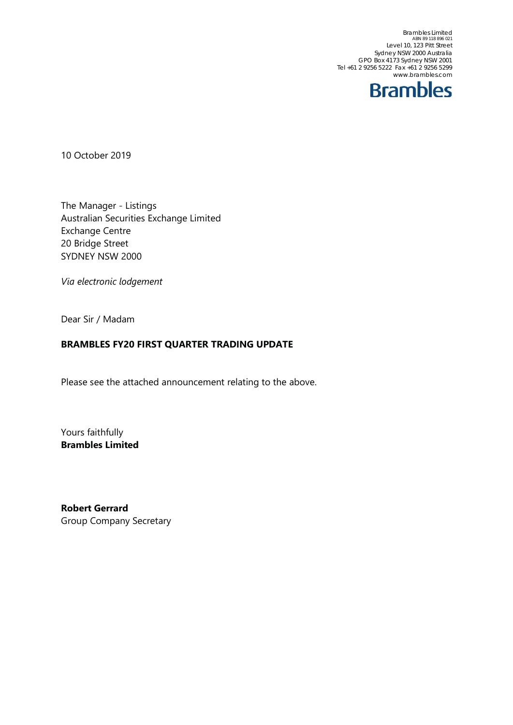Brambles Limited<br>ABN 89 118 896 021<br>Level 10, 123 Pitt Street Sydney NSW 2000 Australia GPO Box 4173 Sydney NSW 2001 Tel +61 2 9256 5222 Fax +61 2 9256 5299 www.brambles.com



10 October 2019

The Manager - Listings Australian Securities Exchange Limited Exchange Centre 20 Bridge Street SYDNEY NSW 2000

*Via electronic lodgement*

Dear Sir / Madam

## **BRAMBLES FY20 FIRST QUARTER TRADING UPDATE**

Please see the attached announcement relating to the above.

Yours faithfully **Brambles Limited** 

**Robert Gerrard**  Group Company Secretary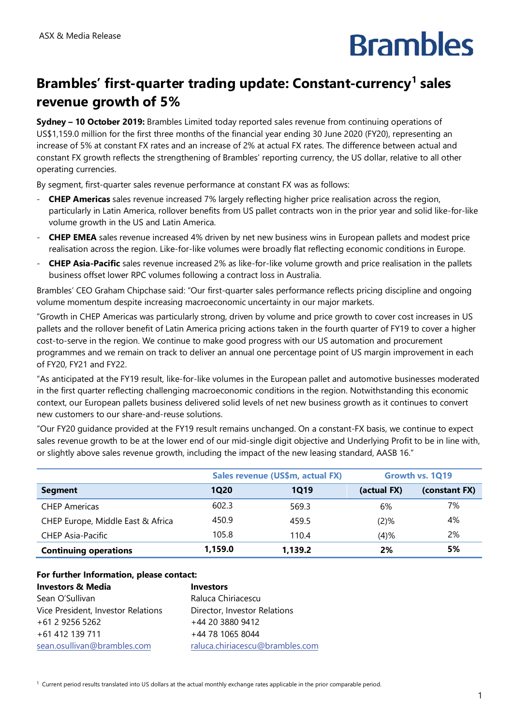## **Brambles**

## Brambles' first-quarter trading update: Constant-currency<sup>1</sup> sales **revenue growth of 5%**

**Sydney – 10 October 2019:** Brambles Limited today reported sales revenue from continuing operations of US\$1,159.0 million for the first three months of the financial year ending 30 June 2020 (FY20), representing an increase of 5% at constant FX rates and an increase of 2% at actual FX rates. The difference between actual and constant FX growth reflects the strengthening of Brambles' reporting currency, the US dollar, relative to all other operating currencies.

By segment, first-quarter sales revenue performance at constant FX was as follows:

- **CHEP Americas** sales revenue increased 7% largely reflecting higher price realisation across the region, particularly in Latin America, rollover benefits from US pallet contracts won in the prior year and solid like-for-like volume growth in the US and Latin America.
- **CHEP EMEA** sales revenue increased 4% driven by net new business wins in European pallets and modest price realisation across the region. Like-for-like volumes were broadly flat reflecting economic conditions in Europe.
- **CHEP Asia-Pacific** sales revenue increased 2% as like-for-like volume growth and price realisation in the pallets business offset lower RPC volumes following a contract loss in Australia.

Brambles' CEO Graham Chipchase said: "Our first-quarter sales performance reflects pricing discipline and ongoing volume momentum despite increasing macroeconomic uncertainty in our major markets.

"Growth in CHEP Americas was particularly strong, driven by volume and price growth to cover cost increases in US pallets and the rollover benefit of Latin America pricing actions taken in the fourth quarter of FY19 to cover a higher cost-to-serve in the region. We continue to make good progress with our US automation and procurement programmes and we remain on track to deliver an annual one percentage point of US margin improvement in each of FY20, FY21 and FY22.

"As anticipated at the FY19 result, like-for-like volumes in the European pallet and automotive businesses moderated in the first quarter reflecting challenging macroeconomic conditions in the region. Notwithstanding this economic context, our European pallets business delivered solid levels of net new business growth as it continues to convert new customers to our share-and-reuse solutions.

"Our FY20 guidance provided at the FY19 result remains unchanged. On a constant-FX basis, we continue to expect sales revenue growth to be at the lower end of our mid-single digit objective and Underlying Profit to be in line with, or slightly above sales revenue growth, including the impact of the new leasing standard, AASB 16."

|                                   | Sales revenue (US\$m, actual FX) |         | Growth vs. 1Q19 |               |
|-----------------------------------|----------------------------------|---------|-----------------|---------------|
| <b>Segment</b>                    | 1Q20                             | 1019    | (actual FX)     | (constant FX) |
| <b>CHEP Americas</b>              | 602.3                            | 569.3   | 6%              | 7%            |
| CHEP Europe, Middle East & Africa | 450.9                            | 459.5   | $(2)$ %         | 4%            |
| <b>CHEP Asia-Pacific</b>          | 105.8                            | 110.4   | (4)%            | 2%            |
| <b>Continuing operations</b>      | 1,159.0                          | 1,139.2 | 2%              | 5%            |

| For further Information, please contact: |                                 |  |  |
|------------------------------------------|---------------------------------|--|--|
| <b>Investors &amp; Media</b>             | <b>Investors</b>                |  |  |
| Sean O'Sullivan                          | Raluca Chiriacescu              |  |  |
| Vice President, Investor Relations       | Director, Investor Relations    |  |  |
| +61 2 9256 5262                          | +44 20 3880 9412                |  |  |
| +61 412 139 711                          | +44 78 1065 8044                |  |  |
| sean.osullivan@brambles.com              | raluca.chiriacescu@brambles.com |  |  |

1 Current period results translated into US dollars at the actual monthly exchange rates applicable in the prior comparable period.